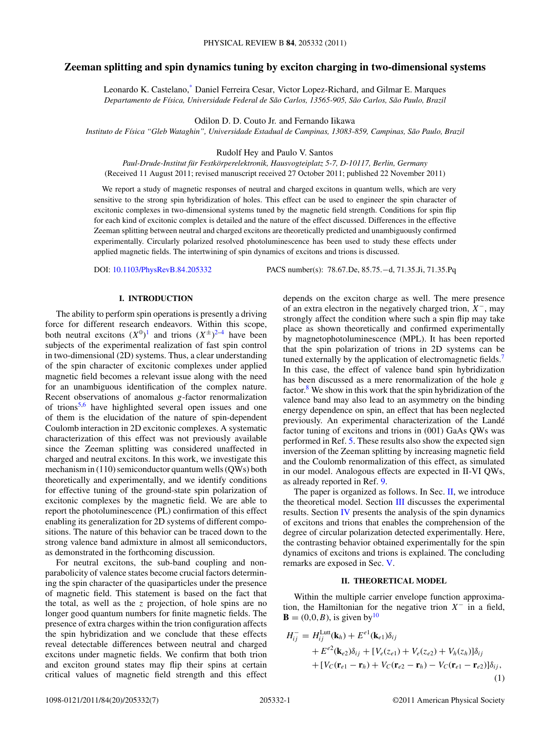# **Zeeman splitting and spin dynamics tuning by exciton charging in two-dimensional systems**

Leonardo K. Castelano[,\\*](#page-5-0) Daniel Ferreira Cesar, Victor Lopez-Richard, and Gilmar E. Marques *Departamento de F´ısica, Universidade Federal de Sao Carlos, 13565-905, S ˜ ao Carlos, S ˜ ao Paulo, Brazil ˜*

Odilon D. D. Couto Jr. and Fernando Iikawa

*Instituto de F´ısica "Gleb Wataghin", Universidade Estadual de Campinas, 13083-859, Campinas, Sao Paulo, Brazil ˜*

Rudolf Hey and Paulo V. Santos

*Paul-Drude-Institut fur Festk ¨ orperelektronik, Hausvogteiplatz 5-7, D-10117, Berlin, Germany ¨* (Received 11 August 2011; revised manuscript received 27 October 2011; published 22 November 2011)

We report a study of magnetic responses of neutral and charged excitons in quantum wells, which are very sensitive to the strong spin hybridization of holes. This effect can be used to engineer the spin character of excitonic complexes in two-dimensional systems tuned by the magnetic field strength. Conditions for spin flip for each kind of excitonic complex is detailed and the nature of the effect discussed. Differences in the effective Zeeman splitting between neutral and charged excitons are theoretically predicted and unambiguously confirmed experimentally. Circularly polarized resolved photoluminescence has been used to study these effects under applied magnetic fields. The intertwining of spin dynamics of excitons and trions is discussed.

DOI: [10.1103/PhysRevB.84.205332](http://dx.doi.org/10.1103/PhysRevB.84.205332) PACS number(s): 78*.*67*.*De, 85*.*75*.*−d, 71*.*35*.*Ji, 71*.*35*.*Pq

#### **I. INTRODUCTION**

The ability to perform spin operations is presently a driving force for different research endeavors. Within this scope, both neutral excitons  $(X^0)^1$  $(X^0)^1$  and trions  $(X^{\pm})^{2-4}$  have been subjects of the experimental realization of fast spin control in two-dimensional (2D) systems. Thus, a clear understanding of the spin character of excitonic complexes under applied magnetic field becomes a relevant issue along with the need for an unambiguous identification of the complex nature. Recent observations of anomalous *g*-factor renormalization of trions[5,6](#page-6-0) have highlighted several open issues and one of them is the elucidation of the nature of spin-dependent Coulomb interaction in 2D excitonic complexes. A systematic characterization of this effect was not previously available since the Zeeman splitting was considered unaffected in charged and neutral excitons. In this work, we investigate this mechanism in (110) semiconductor quantum wells (QWs) both theoretically and experimentally, and we identify conditions for effective tuning of the ground-state spin polarization of excitonic complexes by the magnetic field. We are able to report the photoluminescence (PL) confirmation of this effect enabling its generalization for 2D systems of different compositions. The nature of this behavior can be traced down to the strong valence band admixture in almost all semiconductors, as demonstrated in the forthcoming discussion.

For neutral excitons, the sub-band coupling and nonparabolicity of valence states become crucial factors determining the spin character of the quasiparticles under the presence of magnetic field. This statement is based on the fact that the total, as well as the *z* projection, of hole spins are no longer good quantum numbers for finite magnetic fields. The presence of extra charges within the trion configuration affects the spin hybridization and we conclude that these effects reveal detectable differences between neutral and charged excitons under magnetic fields. We confirm that both trion and exciton ground states may flip their spins at certain critical values of magnetic field strength and this effect depends on the exciton charge as well. The mere presence of an extra electron in the negatively charged trion, *X*−, may strongly affect the condition where such a spin flip may take place as shown theoretically and confirmed experimentally by magnetophotoluminescence (MPL). It has been reported that the spin polarization of trions in 2D systems can be tuned externally by the application of electromagnetic fields.<sup>7</sup> In this case, the effect of valence band spin hybridization has been discussed as a mere renormalization of the hole *g* factor.<sup>[8](#page-6-0)</sup> We show in this work that the spin hybridization of the valence band may also lead to an asymmetry on the binding energy dependence on spin, an effect that has been neglected previously. An experimental characterization of the Lande´ factor tuning of excitons and trions in (001) GaAs QWs was performed in Ref. [5.](#page-6-0) These results also show the expected sign inversion of the Zeeman splitting by increasing magnetic field and the Coulomb renormalization of this effect, as simulated in our model. Analogous effects are expected in II-VI QWs, as already reported in Ref. [9.](#page-6-0)

The paper is organized as follows. In Sec.  $II$ , we introduce the theoretical model. Section [III](#page-2-0) discusses the experimental results. Section [IV](#page-3-0) presents the analysis of the spin dynamics of excitons and trions that enables the comprehension of the degree of circular polarization detected experimentally. Here, the contrasting behavior obtained experimentally for the spin dynamics of excitons and trions is explained. The concluding remarks are exposed in Sec. [V.](#page-5-0)

#### **II. THEORETICAL MODEL**

Within the multiple carrier envelope function approximation, the Hamiltonian for the negative trion *X*<sup>−</sup> in a field, **, is given by<sup>10</sup>** 

$$
H_{ij}^- = H_{ij}^{\text{Lutt}}(\mathbf{k}_h) + E^{e_1}(\mathbf{k}_{e_1})\delta_{ij}
$$
  
+ 
$$
E^{e_2}(\mathbf{k}_{e_2})\delta_{ij} + [V_e(z_{e_1}) + V_e(z_{e_2}) + V_h(z_h)]\delta_{ij}
$$
  
+ 
$$
[V_C(\mathbf{r}_{e_1} - \mathbf{r}_h) + V_C(\mathbf{r}_{e_2} - \mathbf{r}_h) - V_C(\mathbf{r}_{e_1} - \mathbf{r}_{e_2})]\delta_{ij},
$$
  
(1)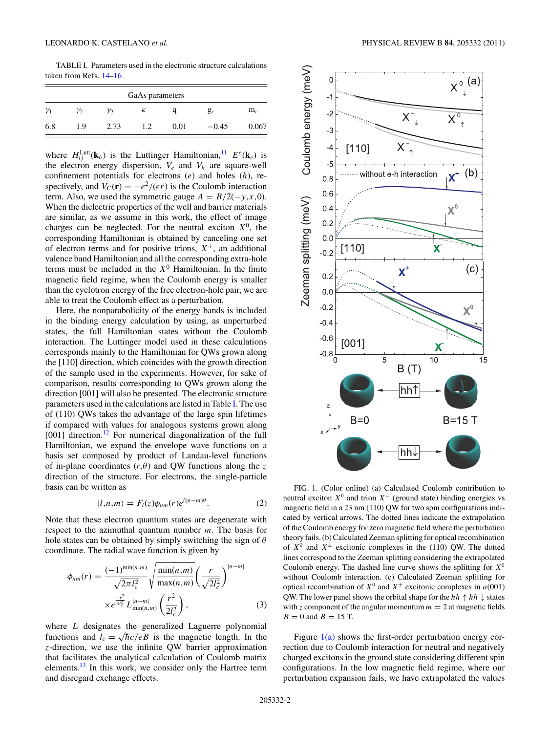<span id="page-1-0"></span>TABLE I. Parameters used in the electronic structure calculations taken from Refs. [14–16.](#page-6-0)

| GaAs parameters |     |      |     |      |         |       |
|-----------------|-----|------|-----|------|---------|-------|
| $\gamma_1$      | γ2  | γ3   | к   |      | $g_c$   | $m_c$ |
| 6.8             | 1.9 | 2.73 | 1.2 | 0.01 | $-0.45$ | 0.067 |

where  $H_{ij}^{\text{Lutt}}(\mathbf{k}_h)$  is the Luttinger Hamiltonian,  $I^{\text{1}}$   $E^e(\mathbf{k}_e)$  is the electron energy dispersion,  $V_e$  and  $V_h$  are square-well confinement potentials for electrons (*e*) and holes (*h*), respectively, and  $V_C(\mathbf{r}) = -e^2/(\epsilon r)$  is the Coulomb interaction term. Also, we used the symmetric gauge  $A = B/2(-y, x, 0)$ . When the dielectric properties of the well and barrier materials are similar, as we assume in this work, the effect of image charges can be neglected. For the neutral exciton  $X^0$ , the corresponding Hamiltonian is obtained by canceling one set of electron terms and for positive trions,  $X^+$ , an additional valence band Hamiltonian and all the corresponding extra-hole terms must be included in the  $X^0$  Hamiltonian. In the finite magnetic field regime, when the Coulomb energy is smaller than the cyclotron energy of the free electron-hole pair, we are able to treat the Coulomb effect as a perturbation.

Here, the nonparabolicity of the energy bands is included in the binding energy calculation by using, as unperturbed states, the full Hamiltonian states without the Coulomb interaction. The Luttinger model used in these calculations corresponds mainly to the Hamiltonian for QWs grown along the [110] direction, which coincides with the growth direction of the sample used in the experiments. However, for sake of comparison, results corresponding to QWs grown along the direction [001] will also be presented. The electronic structure parameters used in the calculations are listed in Table I. The use of (110) QWs takes the advantage of the large spin lifetimes if compared with values for analogous systems grown along [001] direction.<sup>[12](#page-6-0)</sup> For numerical diagonalization of the full Hamiltonian, we expand the envelope wave functions on a basis set composed by product of Landau-level functions of in-plane coordinates  $(r, \theta)$  and QW functions along the *z* direction of the structure. For electrons, the single-particle basis can be written as

$$
|l,n,m\rangle = F_l(z)\phi_{nm}(r)e^{i(n-m)\theta}.
$$
 (2)

Note that these electron quantum states are degenerate with respect to the azimuthal quantum number *m*. The basis for hole states can be obtained by simply switching the sign of *θ* coordinate. The radial wave function is given by

$$
\phi_{nm}(r) = \frac{(-1)^{\min(n,m)}}{\sqrt{2\pi l_c^2}} \sqrt{\frac{\min(n,m)}{\max(n,m)}} \left(\frac{r}{\sqrt{2l_c^2}}\right)^{|n-m|} \times e^{\frac{-r_c^2}{4l_c^2}} L_{\min(n,m)}^{|n-m|} \left(\frac{r^2}{2l_c^2}\right),
$$
\n(3)

where *L* designates the generalized Laguerre polynomial functions and  $l_c = \sqrt{\hbar c / eB}$  is the magnetic length. In the *z*-direction, we use the infinite QW barrier approximation that facilitates the analytical calculation of Coulomb matrix elements. $^{13}$  In this work, we consider only the Hartree term and disregard exchange effects.



FIG. 1. (Color online) (a) Calculated Coulomb contribution to neutral exciton  $X^0$  and trion  $X^-$  (ground state) binding energies vs magnetic field in a 23 nm (110) QW for two spin configurations indicated by vertical arrows. The dotted lines indicate the extrapolation of the Coulomb energy for zero magnetic field where the perturbation theory fails. (b) Calculated Zeeman splitting for optical recombination of  $X^0$  and  $X^{\pm}$  excitonic complexes in the (110) QW. The dotted lines correspond to the Zeeman splitting considering the extrapolated Coulomb energy. The dashed line curve shows the splitting for  $X^0$ without Coulomb interaction. (c) Calculated Zeeman splitting for optical recombination of  $X^0$  and  $X^{\pm}$  excitonic complexes in *a*(001) QW. The lower panel shows the orbital shape for the  $hh \uparrow hh \downarrow$  states with *z* component of the angular momentum  $m = 2$  at magnetic fields  $B = 0$  and  $B = 15$  T.

Figure  $1(a)$  shows the first-order perturbation energy correction due to Coulomb interaction for neutral and negatively charged excitons in the ground state considering different spin configurations. In the low magnetic field regime, where our perturbation expansion fails, we have extrapolated the values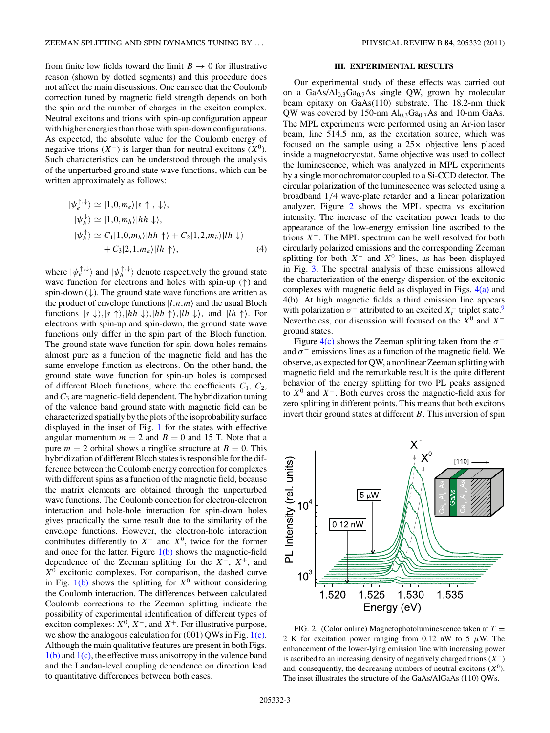<span id="page-2-0"></span>from finite low fields toward the limit  $B \to 0$  for illustrative reason (shown by dotted segments) and this procedure does not affect the main discussions. One can see that the Coulomb correction tuned by magnetic field strength depends on both the spin and the number of charges in the exciton complex. Neutral excitons and trions with spin-up configuration appear with higher energies than those with spin-down configurations. As expected, the absolute value for the Coulomb energy of negative trions  $(X^-)$  is larger than for neutral excitons  $(X^0)$ . Such characteristics can be understood through the analysis of the unperturbed ground state wave functions, which can be written approximately as follows:

$$
|\psi_e^{\uparrow,\downarrow}\rangle \simeq |1,0,m_e\rangle|s\uparrow,\downarrow\rangle,
$$
  
\n
$$
|\psi_h^{\downarrow}\rangle \simeq |1,0,m_h\rangle|hh\downarrow\rangle,
$$
  
\n
$$
|\psi_h^{\uparrow}\rangle \simeq C_1|1,0,m_h\rangle|hh\uparrow\rangle + C_2|1,2,m_h\rangle|h\downarrow\rangle
$$
  
\n
$$
+ C_3|2,1,m_h\rangle|h\uparrow\rangle,
$$
 (4)

where  $|\psi_e^{\uparrow,\downarrow}\rangle$  and  $|\psi_h^{\uparrow,\downarrow}\rangle$  denote respectively the ground state wave function for electrons and holes with spin-up (↑) and spin-down  $(\downarrow)$ . The ground state wave functions are written as the product of envelope functions  $|l,n,m\rangle$  and the usual Bloch functions  $|s \downarrow\rangle$ ,  $|s \uparrow\rangle$ ,  $|hh \downarrow\rangle$ ,  $|hh \uparrow\rangle$ ,  $|lh \downarrow\rangle$ , and  $|h \uparrow\rangle$ . For electrons with spin-up and spin-down, the ground state wave functions only differ in the spin part of the Bloch function. The ground state wave function for spin-down holes remains almost pure as a function of the magnetic field and has the same envelope function as electrons. On the other hand, the ground state wave function for spin-up holes is composed of different Bloch functions, where the coefficients  $C_1$ ,  $C_2$ , and  $C_3$  are magnetic-field dependent. The hybridization tuning of the valence band ground state with magnetic field can be characterized spatially by the plots of the isoprobability surface displayed in the inset of Fig. [1](#page-1-0) for the states with effective angular momentum  $m = 2$  and  $B = 0$  and 15 T. Note that a pure  $m = 2$  orbital shows a ringlike structure at  $B = 0$ . This hybridization of different Bloch states is responsible for the difference between the Coulomb energy correction for complexes with different spins as a function of the magnetic field, because the matrix elements are obtained through the unperturbed wave functions. The Coulomb correction for electron-electron interaction and hole-hole interaction for spin-down holes gives practically the same result due to the similarity of the envelope functions. However, the electron-hole interaction contributes differently to *X*<sup>−</sup> and *X*0, twice for the former and once for the latter. Figure  $1(b)$  shows the magnetic-field dependence of the Zeeman splitting for the *X*−, *X*+, and  $X^0$  excitonic complexes. For comparison, the dashed curve in Fig.  $1(b)$  shows the splitting for  $X^0$  without considering the Coulomb interaction. The differences between calculated Coulomb corrections to the Zeeman splitting indicate the possibility of experimental identification of different types of exciton complexes:  $X^0$ ,  $X^-$ , and  $X^+$ . For illustrative purpose, we show the analogous calculation for  $(001)$  QWs in Fig. [1\(c\).](#page-1-0) Although the main qualitative features are present in both Figs. [1\(b\)](#page-1-0) and [1\(c\),](#page-1-0) the effective mass anisotropy in the valence band and the Landau-level coupling dependence on direction lead to quantitative differences between both cases.

### **III. EXPERIMENTAL RESULTS**

Our experimental study of these effects was carried out on a GaAs/Al<sub>0.3</sub>Ga<sub>0.7</sub>As single QW, grown by molecular beam epitaxy on GaAs(110) substrate. The 18.2-nm thick QW was covered by 150-nm  $Al<sub>0.3</sub>Ga<sub>0.7</sub>As$  and 10-nm GaAs. The MPL experiments were performed using an Ar-ion laser beam, line 514.5 nm, as the excitation source, which was focused on the sample using a  $25 \times$  objective lens placed inside a magnetocryostat. Same objective was used to collect the luminescence, which was analyzed in MPL experiments by a single monochromator coupled to a Si-CCD detector. The circular polarization of the luminescence was selected using a broadband 1*/*4 wave-plate retarder and a linear polarization analyzer. Figure 2 shows the MPL spectra vs excitation intensity. The increase of the excitation power leads to the appearance of the low-energy emission line ascribed to the trions *X*−. The MPL spectrum can be well resolved for both circularly polarized emissions and the corresponding Zeeman splitting for both *X*<sup>−</sup> and *X*<sup>0</sup> lines, as has been displayed in Fig. [3.](#page-3-0) The spectral analysis of these emissions allowed the characterization of the energy dispersion of the excitonic complexes with magnetic field as displayed in Figs. [4\(a\)](#page-3-0) and 4(b). At high magnetic fields a third emission line appears with polarization  $\sigma^+$  attributed to an excited  $X_t^-$  triplet state.<sup>9</sup> Nevertheless, our discussion will focused on the *X*<sup>0</sup> and *X*<sup>−</sup> ground states.

Figure  $4(c)$  shows the Zeeman splitting taken from the  $\sigma^+$ and  $\sigma$ <sup>-</sup> emissions lines as a function of the magnetic field. We observe, as expected for QW, a nonlinear Zeeman splitting with magnetic field and the remarkable result is the quite different behavior of the energy splitting for two PL peaks assigned to *X*<sup>0</sup> and *X*−. Both curves cross the magnetic-field axis for zero splitting in different points. This means that both excitons invert their ground states at different *B*. This inversion of spin



FIG. 2. (Color online) Magnetophotoluminescence taken at  $T =$ 2 K for excitation power ranging from 0.12 nW to 5  $\mu$ W. The enhancement of the lower-lying emission line with increasing power is ascribed to an increasing density of negatively charged trions (*X*−) and, consequently, the decreasing numbers of neutral excitons  $(X^0)$ . The inset illustrates the structure of the GaAs/AlGaAs (110) QWs.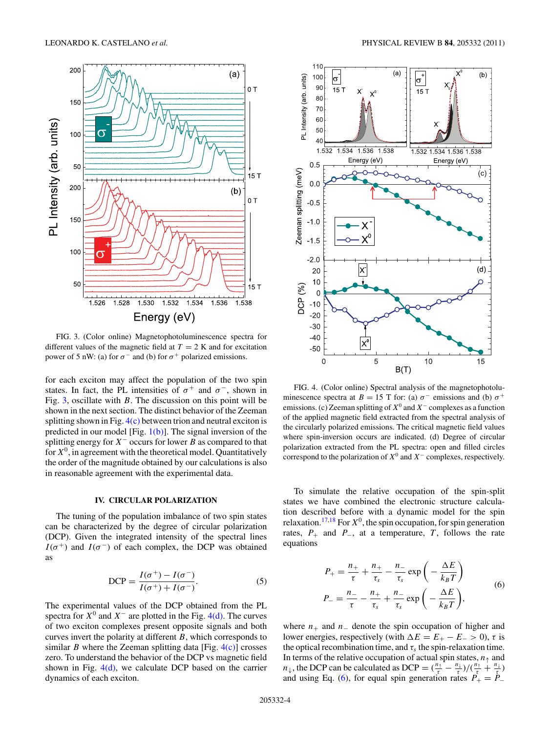<span id="page-3-0"></span>

FIG. 3. (Color online) Magnetophotoluminescence spectra for different values of the magnetic field at  $T = 2$  K and for excitation power of 5 nW: (a) for  $\sigma^-$  and (b) for  $\sigma^+$  polarized emissions.

for each exciton may affect the population of the two spin states. In fact, the PL intensities of  $\sigma^+$  and  $\sigma^-$ , shown in Fig. 3, oscillate with *B*. The discussion on this point will be shown in the next section. The distinct behavior of the Zeeman splitting shown in Fig.  $4(c)$  between trion and neutral exciton is predicted in our model [Fig.  $1(b)$ ]. The signal inversion of the splitting energy for *X*<sup>−</sup> occurs for lower *B* as compared to that for  $X^0$ , in agreement with the theoretical model. Quantitatively the order of the magnitude obtained by our calculations is also in reasonable agreement with the experimental data.

## **IV. CIRCULAR POLARIZATION**

The tuning of the population imbalance of two spin states can be characterized by the degree of circular polarization (DCP). Given the integrated intensity of the spectral lines  $I(\sigma^+)$  and  $I(\sigma^-)$  of each complex, the DCP was obtained as

$$
DCP = \frac{I(\sigma^+) - I(\sigma^-)}{I(\sigma^+) + I(\sigma^-)}.
$$
\n(5)

The experimental values of the DCP obtained from the PL spectra for  $X^0$  and  $X^-$  are plotted in the Fig. 4(d). The curves of two exciton complexes present opposite signals and both curves invert the polarity at different *B*, which corresponds to similar *B* where the Zeeman splitting data [Fig.  $4(c)$ ] crosses zero. To understand the behavior of the DCP vs magnetic field shown in Fig.  $4(d)$ , we calculate DCP based on the carrier dynamics of each exciton.



FIG. 4. (Color online) Spectral analysis of the magnetophotoluminescence spectra at *B* = 15 T for: (a)  $\sigma$ <sup>-</sup> emissions and (b)  $\sigma$ <sup>+</sup> emissions. (c) Zeeman splitting of *X*<sup>0</sup> and *X*<sup>−</sup> complexes as a function of the applied magnetic field extracted from the spectral analysis of the circularly polarized emissions. The critical magnetic field values where spin-inversion occurs are indicated. (d) Degree of circular polarization extracted from the PL spectra: open and filled circles correspond to the polarization of  $X^0$  and  $X^-$  complexes, respectively.

To simulate the relative occupation of the spin-split states we have combined the electronic structure calculation described before with a dynamic model for the spin relaxation.<sup>[17,18](#page-6-0)</sup> For  $X^0$ , the spin occupation, for spin generation rates,  $P_+$  and  $P_-,$  at a temperature,  $T$ , follows the rate equations

$$
P_{+} = \frac{n_{+}}{\tau} + \frac{n_{+}}{\tau_{s}} - \frac{n_{-}}{\tau_{s}} \exp\left(-\frac{\Delta E}{k_{B}T}\right)
$$
  

$$
P_{-} = \frac{n_{-}}{\tau} - \frac{n_{+}}{\tau_{s}} + \frac{n_{-}}{\tau_{s}} \exp\left(-\frac{\Delta E}{k_{B}T}\right),
$$
 (6)

where  $n_+$  and  $n_-$  denote the spin occupation of higher and lower energies, respectively (with  $\Delta E = E_{+} - E_{-} > 0$ ),  $\tau$  is the optical recombination time, and  $\tau_s$  the spin-relaxation time. In terms of the relative occupation of actual spin states,  $n_{\uparrow}$  and *n*<sub>↓</sub>, the DCP can be calculated as DCP =  $(\frac{n_1}{\tau} - \frac{n_1}{\tau})/(\frac{n_1}{\tau} + \frac{n_1}{\tau})$ and using Eq. (6), for equal spin generation rates  $P_+ = P_-$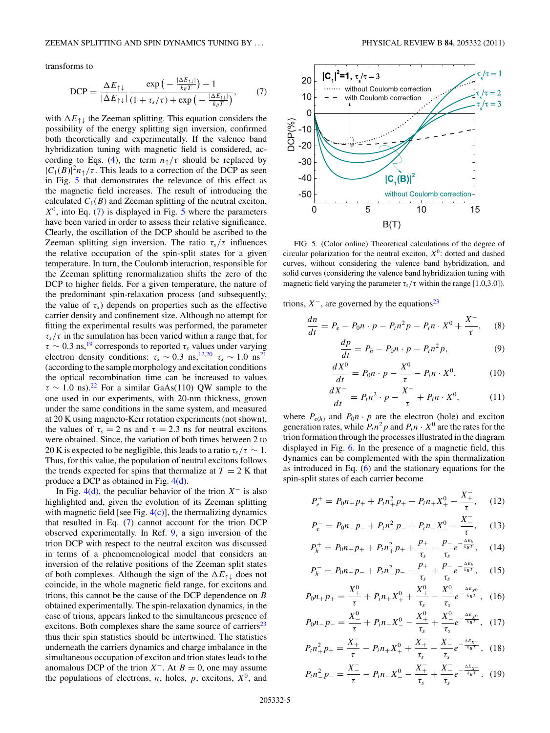<span id="page-4-0"></span>transforms to

$$
\text{DCP} = \frac{\Delta E_{\uparrow\downarrow}}{|\Delta E_{\uparrow\downarrow}|} \frac{\exp\left(-\frac{|\Delta E_{\uparrow\downarrow}|}{k_B T}\right) - 1}{(1 + \tau_s/\tau) + \exp\left(-\frac{|\Delta E_{\uparrow\downarrow}|}{k_B T}\right)},\tag{7}
$$

with  $\Delta E_{\uparrow\downarrow}$  the Zeeman splitting. This equation considers the possibility of the energy splitting sign inversion, confirmed both theoretically and experimentally. If the valence band hybridization tuning with magnetic field is considered, ac-cording to Eqs. [\(4\)](#page-2-0), the term  $n_{\uparrow}/\tau$  should be replaced by  $|C_1(B)|^2 n_\uparrow/\tau$ . This leads to a correction of the DCP as seen in Fig. 5 that demonstrates the relevance of this effect as the magnetic field increases. The result of introducing the calculated  $C_1(B)$  and Zeeman splitting of the neutral exciton,  $X^0$ , into Eq. (7) is displayed in Fig. 5 where the parameters have been varied in order to assess their relative significance. Clearly, the oscillation of the DCP should be ascribed to the Zeeman splitting sign inversion. The ratio  $\tau_s/\tau$  influences the relative occupation of the spin-split states for a given temperature. In turn, the Coulomb interaction, responsible for the Zeeman splitting renormalization shifts the zero of the DCP to higher fields. For a given temperature, the nature of the predominant spin-relaxation process (and subsequently, the value of  $\tau_s$ ) depends on properties such as the effective carrier density and confinement size. Although no attempt for fitting the experimental results was performed, the parameter *τs/τ* in the simulation has been varied within a range that, for  $\tau \sim 0.3$  ns,<sup>[19](#page-6-0)</sup> corresponds to reported  $\tau_s$  values under varying electron density conditions:  $\tau_s \sim 0.3 \text{ ns}^{12,20} \tau_s \sim 1.0 \text{ ns}^{21}$  $\tau_s \sim 0.3 \text{ ns}^{12,20} \tau_s \sim 1.0 \text{ ns}^{21}$  $\tau_s \sim 0.3 \text{ ns}^{12,20} \tau_s \sim 1.0 \text{ ns}^{21}$  $\tau_s \sim 0.3 \text{ ns}^{12,20} \tau_s \sim 1.0 \text{ ns}^{21}$  $\tau_s \sim 0.3 \text{ ns}^{12,20} \tau_s \sim 1.0 \text{ ns}^{21}$ (according to the sample morphology and excitation conditions the optical recombination time can be increased to values  $\tau \sim 1.0$  ns).<sup>[22](#page-6-0)</sup> For a similar GaAs(110) QW sample to the one used in our experiments, with 20-nm thickness, grown under the same conditions in the same system, and measured at 20 K using magneto-Kerr rotation experiments (not shown), the values of  $\tau_s = 2$  ns and  $\tau = 2.3$  ns for neutral excitons were obtained. Since, the variation of both times between 2 to 20 K is expected to be negligible, this leads to a ratio  $\tau_s/\tau \sim 1$ . Thus, for this value, the population of neutral excitons follows the trends expected for spins that thermalize at  $T = 2$  K that produce a DCP as obtained in Fig. [4\(d\).](#page-3-0)

In Fig. [4\(d\),](#page-3-0) the peculiar behavior of the trion *X*<sup>−</sup> is also highlighted and, given the evolution of its Zeeman splitting with magnetic field [see Fig.  $4(c)$ ], the thermalizing dynamics that resulted in Eq. (7) cannot account for the trion DCP observed experimentally. In Ref. [9,](#page-6-0) a sign inversion of the trion DCP with respect to the neutral exciton was discussed in terms of a phenomenological model that considers an inversion of the relative positions of the Zeeman split states of both complexes. Although the sign of the  $\Delta E_{\uparrow\downarrow}$  does not coincide, in the whole magnetic field range, for excitons and trions, this cannot be the cause of the DCP dependence on *B* obtained experimentally. The spin-relaxation dynamics, in the case of trions, appears linked to the simultaneous presence of excitons. Both complexes share the same source of carriers $^{23}$ thus their spin statistics should be intertwined. The statistics underneath the carriers dynamics and charge imbalance in the simultaneous occupation of exciton and trion states leads to the anomalous DCP of the trion  $X^-$ . At  $B = 0$ , one may assume the populations of electrons,  $n$ , holes,  $p$ , excitons,  $X^0$ , and



FIG. 5. (Color online) Theoretical calculations of the degree of circular polarization for the neutral exciton,  $X^0$ : dotted and dashed curves, without considering the valence band hybridization, and solid curves (considering the valence band hybridization tuning with magnetic field varying the parameter  $\tau_s/\tau$  within the range [1.0,3.0]).

trions,  $X^-$ , are governed by the equations<sup>[23](#page-6-0)</sup>

$$
\frac{dn}{dt} = P_e - P_0 n \cdot p - P_t n^2 p - P_i n \cdot X^0 + \frac{X^-}{\tau}, \quad (8)
$$

$$
\frac{dp}{dt} = P_h - P_0 n \cdot p - P_t n^2 p,\tag{9}
$$

$$
\frac{dX^0}{dt} = P_0 n \cdot p - \frac{X^0}{\tau} - P_i n \cdot X^0,\tag{10}
$$

$$
\frac{dX^{-}}{dt} = P_t n^2 \cdot p - \frac{X^{-}}{\tau} + P_i n \cdot X^0, \tag{11}
$$

where  $P_{e(h)}$  and  $P_0n \cdot p$  are the electron (hole) and exciton generation rates, while  $P_t n^2 p$  and  $P_i n \cdot X^0$  are the rates for the trion formation through the processes illustrated in the diagram displayed in Fig. [6.](#page-5-0) In the presence of a magnetic field, this dynamics can be complemented with the spin thermalization as introduced in Eq. [\(6\)](#page-3-0) and the stationary equations for the spin-split states of each carrier become

$$
P_e^+ = P_0 n_+ p_+ + P_t n_+^2 p_+ + P_i n_+ X_+^0 - \frac{X_+^-}{\tau}, \quad (12)
$$

$$
P_e^- = P_0 n_- p_- + P_t n_-^2 p_- + P_i n_- X_-^0 - \frac{X_-^-}{\tau}, \quad (13)
$$

$$
P_h^+ = P_0 n_+ p_+ + P_t n_+^2 p_+ + \frac{p_+}{\tau_s} - \frac{p_-}{\tau_s} e^{-\frac{\Delta E_h}{k_B T}}, \quad (14)
$$

$$
P_h^- = P_0 n_- p_- + P_t n_-^2 p_- - \frac{p_+}{\tau_s} + \frac{p_-}{\tau_s} e^{-\frac{\Delta E_h}{k_B T}}, \quad (15)
$$

$$
P_0 n_+ p_+ = \frac{X_+^0}{\tau} + P_i n_+ X_+^0 + \frac{X_+^0}{\tau_s} - \frac{X_-^0}{\tau_s} e^{-\frac{\Delta E_{X_0}}{k_B T}}, \quad (16)
$$

$$
P_0 n_- p_- = \frac{X_-^0}{\tau} + P_i n_- X_-^0 - \frac{X_+^0}{\tau_s} + \frac{X_-^0}{\tau_s} e^{-\frac{\Delta E_{X_0}}{k_B T}}, \quad (17)
$$

$$
P_t n_+^2 p_+ = \frac{X_+^-}{\tau} - P_t n_+ X_+^0 + \frac{X_+^-}{\tau_s} - \frac{X_-^-}{\tau_s} e^{-\frac{\Delta E_{X-}^-}{k_B T}}, \quad (18)
$$

$$
P_t n_-^2 p_- = \frac{X_-^-}{\tau} - P_t n_- X_-^0 - \frac{X_+^-}{\tau_s} + \frac{X_-^-}{\tau_s} e^{-\frac{\Delta E_{X-}}{k_B T}}. (19)
$$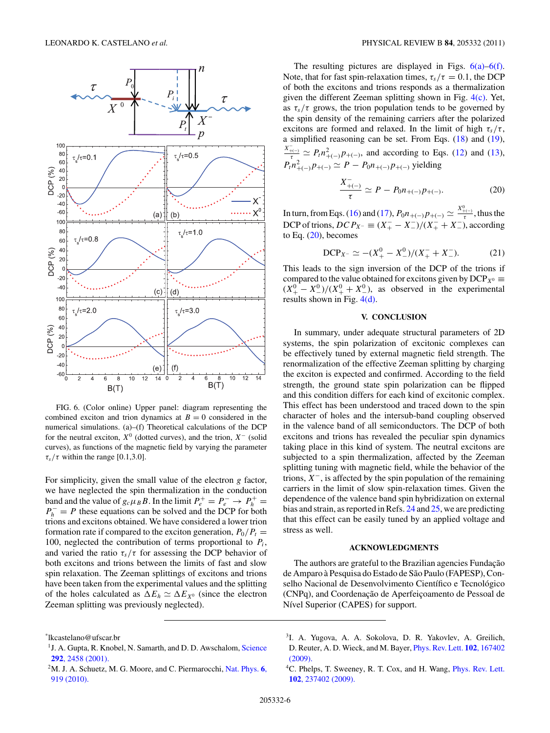<span id="page-5-0"></span>

FIG. 6. (Color online) Upper panel: diagram representing the combined exciton and trion dynamics at  $B = 0$  considered in the numerical simulations. (a)–(f) Theoretical calculations of the DCP for the neutral exciton,  $X^0$  (dotted curves), and the trion,  $X^-$  (solid curves), as functions of the magnetic field by varying the parameter  $\tau_s/\tau$  within the range [0.1,3.0].

For simplicity, given the small value of the electron *g* factor, we have neglected the spin thermalization in the conduction band and the value of  $g_c \mu_B B$ . In the limit  $P_e^+ = P_e^- \rightarrow P_h^+ =$  $P_h^- = P$  these equations can be solved and the DCP for both trions and excitons obtained. We have considered a lower trion formation rate if compared to the exciton generation,  $P_0/P_t =$ 100, neglected the contribution of terms proportional to  $P_i$ , and varied the ratio  $\tau_s/\tau$  for assessing the DCP behavior of both excitons and trions between the limits of fast and slow spin relaxation. The Zeeman splittings of excitons and trions have been taken from the experimental values and the splitting of the holes calculated as  $\Delta E_h \simeq \Delta E_{X^0}$  (since the electron Zeeman splitting was previously neglected).

The resulting pictures are displayed in Figs.  $6(a)$ – $6(f)$ . Note, that for fast spin-relaxation times,  $\tau_s/\tau = 0.1$ , the DCP of both the excitons and trions responds as a thermalization given the different Zeeman splitting shown in Fig. [4\(c\).](#page-3-0) Yet, as  $\tau_s/\tau$  grows, the trion population tends to be governed by the spin density of the remaining carriers after the polarized excitons are formed and relaxed. In the limit of high  $\tau_s/\tau$ , a simplified reasoning can be set. From Eqs. [\(18\)](#page-4-0) and [\(19\)](#page-4-0),  $\frac{X_{+(-)}^2}{\tau} \simeq P_t n_{+(-)}^2 p_{+(-)}$ , and according to Eqs. [\(12\)](#page-4-0) and [\(13\)](#page-4-0),  $P_t n_{+(-)}^2 p_{+(-)} \simeq P - P_0 n_{+(-)} p_{+(-)}$  yielding

$$
\frac{X_{+(-)}^{-}}{\tau} \simeq P - P_0 n_{+(-)} p_{+(-)}.
$$
 (20)

In turn, from Eqs. [\(16\)](#page-4-0) and [\(17\)](#page-4-0),  $P_0 n_{+(-)} p_{+(-)} \simeq \frac{X_{+(-)}^0}{\tau}$ , thus the DCP of trions,  $DCP_{X-} \equiv (X_+^- - X_-^-)/(X_+^- + X_-^-)$ , according to Eq.  $(20)$ , becomes

DCP<sub>X<sup>-</sup></sub> 
$$
\simeq
$$
 –( $X_+^0 - X_-^0$ )/( $X_+^- + X_-^-$ ). (21)

This leads to the sign inversion of the DCP of the trions if compared to the value obtained for excitons given by  $DCP_{X^0} \equiv$  $(X^0_+ - X^0_-)/(X^0_+ + X^0_-)$ , as observed in the experimental results shown in Fig. [4\(d\).](#page-3-0)

#### **V. CONCLUSION**

In summary, under adequate structural parameters of 2D systems, the spin polarization of excitonic complexes can be effectively tuned by external magnetic field strength. The renormalization of the effective Zeeman splitting by charging the exciton is expected and confirmed. According to the field strength, the ground state spin polarization can be flipped and this condition differs for each kind of excitonic complex. This effect has been understood and traced down to the spin character of holes and the intersub-band coupling observed in the valence band of all semiconductors. The DCP of both excitons and trions has revealed the peculiar spin dynamics taking place in this kind of system. The neutral excitons are subjected to a spin thermalization, affected by the Zeeman splitting tuning with magnetic field, while the behavior of the trions, *X*−, is affected by the spin population of the remaining carriers in the limit of slow spin-relaxation times. Given the dependence of the valence band spin hybridization on external bias and strain, as reported in Refs. [24](#page-6-0) and [25,](#page-6-0) we are predicting that this effect can be easily tuned by an applied voltage and stress as well.

#### **ACKNOWLEDGMENTS**

The authors are grateful to the Brazilian agencies Fundação de Amparo à Pesquisa do Estado de São Paulo (FAPESP), Conselho Nacional de Desenvolvimento Científico e Tecnológico (CNPq), and Coordenação de Aperfeiçoamento de Pessoal de Nível Superior (CAPES) for support.

3I. A. Yugova, A. A. Sokolova, D. R. Yakovlev, A. Greilich, D. Reuter, A. D. Wieck, and M. Bayer, [Phys. Rev. Lett.](http://dx.doi.org/10.1103/PhysRevLett.102.167402) **102**, 167402 [\(2009\).](http://dx.doi.org/10.1103/PhysRevLett.102.167402)

<sup>\*</sup> lkcastelano@ufscar.br

<sup>&</sup>lt;sup>1</sup> J. A. Gupta, R. Knobel, N. Samarth, and D. D. Awschalom, [Science](http://dx.doi.org/10.1126/science.1061169) **292**[, 2458 \(2001\).](http://dx.doi.org/10.1126/science.1061169)

<sup>2</sup>M. J. A. Schuetz, M. G. Moore, and C. Piermarocchi, [Nat. Phys.](http://dx.doi.org/10.1038/nphys1775) **6**, [919 \(2010\).](http://dx.doi.org/10.1038/nphys1775)

<sup>&</sup>lt;sup>4</sup>C. Phelps, T. Sweeney, R. T. Cox, and H. Wang, *[Phys. Rev. Lett.](http://dx.doi.org/10.1103/PhysRevLett.102.237402)* **102**[, 237402 \(2009\).](http://dx.doi.org/10.1103/PhysRevLett.102.237402)